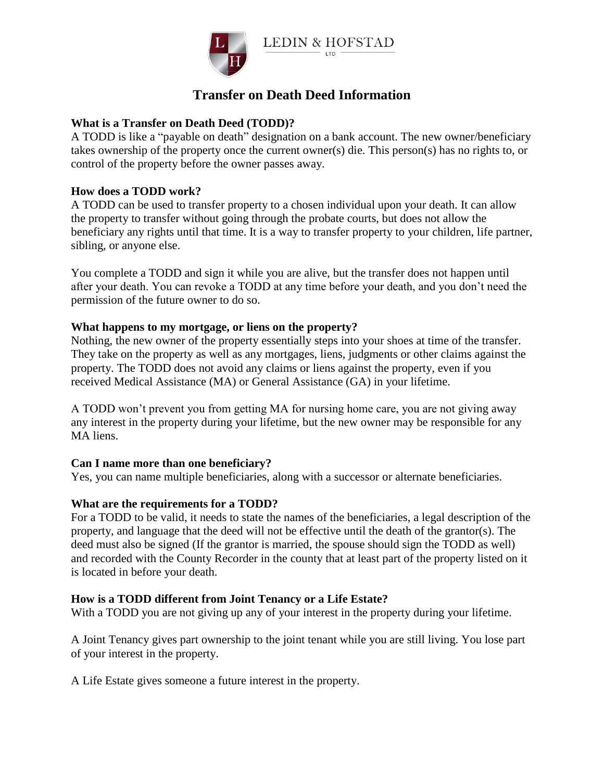

# **Transfer on Death Deed Information**

## **What is a Transfer on Death Deed (TODD)?**

A TODD is like a "payable on death" designation on a bank account. The new owner/beneficiary takes ownership of the property once the current owner(s) die. This person(s) has no rights to, or control of the property before the owner passes away.

## **How does a TODD work?**

A TODD can be used to transfer property to a chosen individual upon your death. It can allow the property to transfer without going through the probate courts, but does not allow the beneficiary any rights until that time. It is a way to transfer property to your children, life partner, sibling, or anyone else.

You complete a TODD and sign it while you are alive, but the transfer does not happen until after your death. You can revoke a TODD at any time before your death, and you don't need the permission of the future owner to do so.

## **What happens to my mortgage, or liens on the property?**

Nothing, the new owner of the property essentially steps into your shoes at time of the transfer. They take on the property as well as any mortgages, liens, judgments or other claims against the property. The TODD does not avoid any claims or liens against the property, even if you received Medical Assistance (MA) or General Assistance (GA) in your lifetime.

A TODD won't prevent you from getting MA for nursing home care, you are not giving away any interest in the property during your lifetime, but the new owner may be responsible for any MA liens.

## **Can I name more than one beneficiary?**

Yes, you can name multiple beneficiaries, along with a successor or alternate beneficiaries.

## **What are the requirements for a TODD?**

For a TODD to be valid, it needs to state the names of the beneficiaries, a legal description of the property, and language that the deed will not be effective until the death of the grantor(s). The deed must also be signed (If the grantor is married, the spouse should sign the TODD as well) and recorded with the County Recorder in the county that at least part of the property listed on it is located in before your death.

## **How is a TODD different from Joint Tenancy or a Life Estate?**

With a TODD you are not giving up any of your interest in the property during your lifetime.

A Joint Tenancy gives part ownership to the joint tenant while you are still living. You lose part of your interest in the property.

A Life Estate gives someone a future interest in the property.